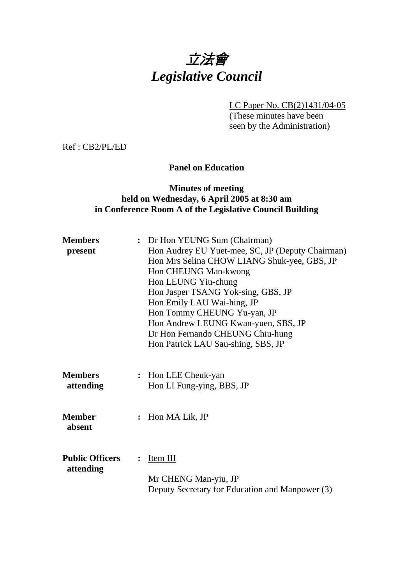

LC Paper No. CB(2)1431/04-05

(These minutes have been seen by the Administration)

Ref : CB2/PL/ED

### **Panel on Education**

## **Minutes of meeting held on Wednesday, 6 April 2005 at 8:30 am in Conference Room A of the Legislative Council Building**

| <b>Members</b><br>present           | : Dr Hon YEUNG Sum (Chairman)<br>Hon Audrey EU Yuet-mee, SC, JP (Deputy Chairman)<br>Hon Mrs Selina CHOW LIANG Shuk-yee, GBS, JP<br>Hon CHEUNG Man-kwong<br>Hon LEUNG Yiu-chung<br>Hon Jasper TSANG Yok-sing, GBS, JP<br>Hon Emily LAU Wai-hing, JP<br>Hon Tommy CHEUNG Yu-yan, JP<br>Hon Andrew LEUNG Kwan-yuen, SBS, JP<br>Dr Hon Fernando CHEUNG Chiu-hung<br>Hon Patrick LAU Sau-shing, SBS, JP |  |
|-------------------------------------|-----------------------------------------------------------------------------------------------------------------------------------------------------------------------------------------------------------------------------------------------------------------------------------------------------------------------------------------------------------------------------------------------------|--|
| <b>Members</b><br>attending         | : Hon LEE Cheuk-yan<br>Hon LI Fung-ying, BBS, JP                                                                                                                                                                                                                                                                                                                                                    |  |
| <b>Member</b><br>absent             | Hon MA Lik, JP                                                                                                                                                                                                                                                                                                                                                                                      |  |
| <b>Public Officers</b><br>attending | <u>Item III</u><br>Mr CHENG Man-yiu, JP<br>Deputy Secretary for Education and Manpower (3)                                                                                                                                                                                                                                                                                                          |  |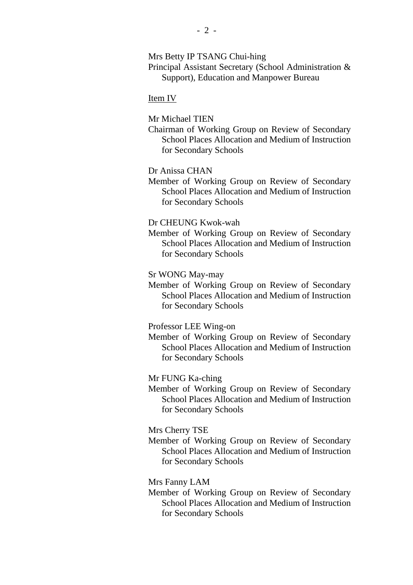Mrs Betty IP TSANG Chui-hing

Principal Assistant Secretary (School Administration & Support), Education and Manpower Bureau

#### Item IV

Mr Michael TIEN

Chairman of Working Group on Review of Secondary School Places Allocation and Medium of Instruction for Secondary Schools

Dr Anissa CHAN

Member of Working Group on Review of Secondary School Places Allocation and Medium of Instruction for Secondary Schools

Dr CHEUNG Kwok-wah

Member of Working Group on Review of Secondary School Places Allocation and Medium of Instruction for Secondary Schools

Sr WONG May-may

Member of Working Group on Review of Secondary School Places Allocation and Medium of Instruction for Secondary Schools

Professor LEE Wing-on

Member of Working Group on Review of Secondary School Places Allocation and Medium of Instruction for Secondary Schools

Mr FUNG Ka-ching

Member of Working Group on Review of Secondary School Places Allocation and Medium of Instruction for Secondary Schools

Mrs Cherry TSE

Member of Working Group on Review of Secondary School Places Allocation and Medium of Instruction for Secondary Schools

Mrs Fanny LAM

Member of Working Group on Review of Secondary School Places Allocation and Medium of Instruction for Secondary Schools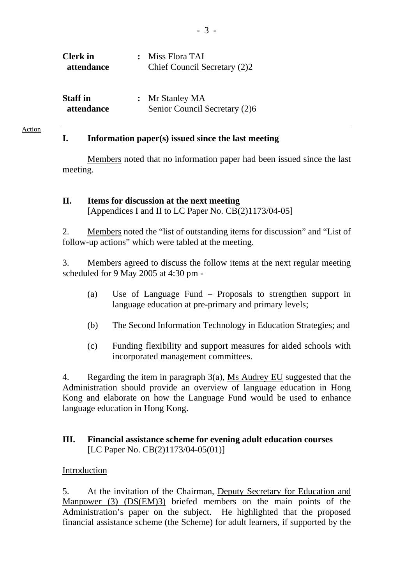| <b>Clerk</b> in | $\ddot{\cdot}$ | Miss Flora TAI                |
|-----------------|----------------|-------------------------------|
| attendance      |                | Chief Council Secretary (2)2  |
|                 |                |                               |
| <b>Staff</b> in |                | : Mr Stanley MA               |
| attendance      |                | Senior Council Secretary (2)6 |
|                 |                |                               |

#### **I. Information paper(s) issued since the last meeting**

Members noted that no information paper had been issued since the last meeting.

## **II. Items for discussion at the next meeting**  [Appendices I and II to LC Paper No. CB(2)1173/04-05]

2. Members noted the "list of outstanding items for discussion" and "List of follow-up actions" which were tabled at the meeting.

3. Members agreed to discuss the follow items at the next regular meeting scheduled for 9 May 2005 at 4:30 pm -

- (a) Use of Language Fund Proposals to strengthen support in language education at pre-primary and primary levels;
- (b) The Second Information Technology in Education Strategies; and
- (c) Funding flexibility and support measures for aided schools with incorporated management committees.

4. Regarding the item in paragraph 3(a), Ms Audrey EU suggested that the Administration should provide an overview of language education in Hong Kong and elaborate on how the Language Fund would be used to enhance language education in Hong Kong.

## **III. Financial assistance scheme for evening adult education courses**  [LC Paper No. CB(2)1173/04-05(01)]

### Introduction

5. At the invitation of the Chairman, Deputy Secretary for Education and Manpower (3) (DS(EM)3) briefed members on the main points of the Administration's paper on the subject. He highlighted that the proposed financial assistance scheme (the Scheme) for adult learners, if supported by the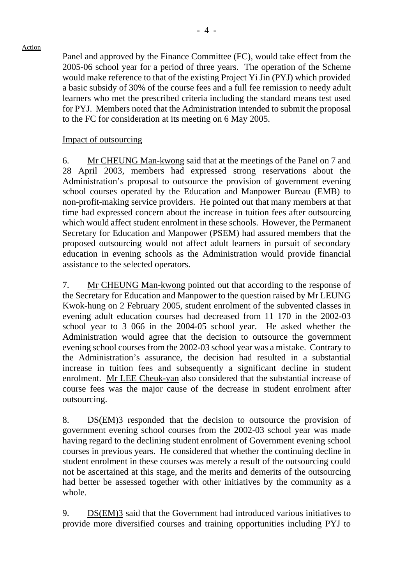Panel and approved by the Finance Committee (FC), would take effect from the 2005-06 school year for a period of three years. The operation of the Scheme would make reference to that of the existing Project Yi Jin (PYJ) which provided a basic subsidy of 30% of the course fees and a full fee remission to needy adult learners who met the prescribed criteria including the standard means test used for PYJ. Members noted that the Administration intended to submit the proposal to the FC for consideration at its meeting on 6 May 2005.

#### Impact of outsourcing

6. Mr CHEUNG Man-kwong said that at the meetings of the Panel on 7 and 28 April 2003, members had expressed strong reservations about the Administration's proposal to outsource the provision of government evening school courses operated by the Education and Manpower Bureau (EMB) to non-profit-making service providers. He pointed out that many members at that time had expressed concern about the increase in tuition fees after outsourcing which would affect student enrolment in these schools. However, the Permanent Secretary for Education and Manpower (PSEM) had assured members that the proposed outsourcing would not affect adult learners in pursuit of secondary education in evening schools as the Administration would provide financial assistance to the selected operators.

7. Mr CHEUNG Man-kwong pointed out that according to the response of the Secretary for Education and Manpower to the question raised by Mr LEUNG Kwok-hung on 2 February 2005, student enrolment of the subvented classes in evening adult education courses had decreased from 11 170 in the 2002-03 school year to 3 066 in the 2004-05 school year. He asked whether the Administration would agree that the decision to outsource the government evening school courses from the 2002-03 school year was a mistake. Contrary to the Administration's assurance, the decision had resulted in a substantial increase in tuition fees and subsequently a significant decline in student enrolment. Mr LEE Cheuk-yan also considered that the substantial increase of course fees was the major cause of the decrease in student enrolment after outsourcing.

8. DS(EM)3 responded that the decision to outsource the provision of government evening school courses from the 2002-03 school year was made having regard to the declining student enrolment of Government evening school courses in previous years. He considered that whether the continuing decline in student enrolment in these courses was merely a result of the outsourcing could not be ascertained at this stage, and the merits and demerits of the outsourcing had better be assessed together with other initiatives by the community as a whole.

9. DS(EM)3 said that the Government had introduced various initiatives to provide more diversified courses and training opportunities including PYJ to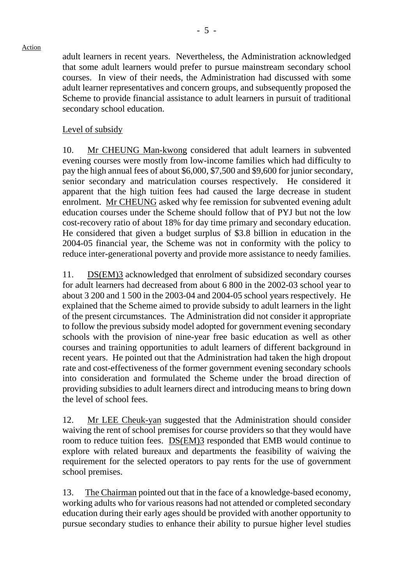adult learners in recent years. Nevertheless, the Administration acknowledged that some adult learners would prefer to pursue mainstream secondary school courses. In view of their needs, the Administration had discussed with some adult learner representatives and concern groups, and subsequently proposed the Scheme to provide financial assistance to adult learners in pursuit of traditional secondary school education.

### Level of subsidy

10. Mr CHEUNG Man-kwong considered that adult learners in subvented evening courses were mostly from low-income families which had difficulty to pay the high annual fees of about \$6,000, \$7,500 and \$9,600 for junior secondary, senior secondary and matriculation courses respectively. He considered it apparent that the high tuition fees had caused the large decrease in student enrolment. Mr CHEUNG asked why fee remission for subvented evening adult education courses under the Scheme should follow that of PYJ but not the low cost-recovery ratio of about 18% for day time primary and secondary education. He considered that given a budget surplus of \$3.8 billion in education in the 2004-05 financial year, the Scheme was not in conformity with the policy to reduce inter-generational poverty and provide more assistance to needy families.

11. DS(EM)3 acknowledged that enrolment of subsidized secondary courses for adult learners had decreased from about 6 800 in the 2002-03 school year to about 3 200 and 1 500 in the 2003-04 and 2004-05 school years respectively. He explained that the Scheme aimed to provide subsidy to adult learners in the light of the present circumstances. The Administration did not consider it appropriate to follow the previous subsidy model adopted for government evening secondary schools with the provision of nine-year free basic education as well as other courses and training opportunities to adult learners of different background in recent years. He pointed out that the Administration had taken the high dropout rate and cost-effectiveness of the former government evening secondary schools into consideration and formulated the Scheme under the broad direction of providing subsidies to adult learners direct and introducing means to bring down the level of school fees.

12. Mr LEE Cheuk-yan suggested that the Administration should consider waiving the rent of school premises for course providers so that they would have room to reduce tuition fees. DS(EM)3 responded that EMB would continue to explore with related bureaux and departments the feasibility of waiving the requirement for the selected operators to pay rents for the use of government school premises.

13. The Chairman pointed out that in the face of a knowledge-based economy, working adults who for various reasons had not attended or completed secondary education during their early ages should be provided with another opportunity to pursue secondary studies to enhance their ability to pursue higher level studies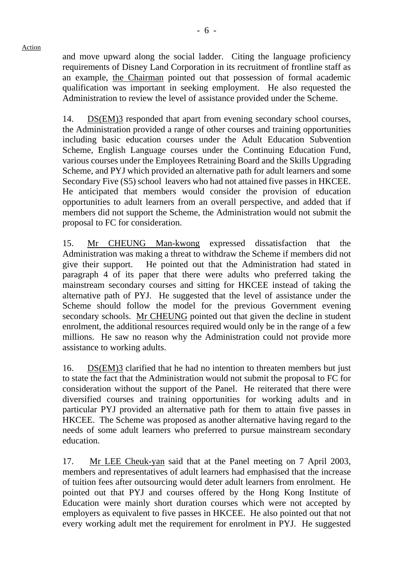and move upward along the social ladder. Citing the language proficiency requirements of Disney Land Corporation in its recruitment of frontline staff as an example, the Chairman pointed out that possession of formal academic qualification was important in seeking employment. He also requested the Administration to review the level of assistance provided under the Scheme.

14. DS(EM)3 responded that apart from evening secondary school courses, the Administration provided a range of other courses and training opportunities including basic education courses under the Adult Education Subvention Scheme, English Language courses under the Continuing Education Fund, various courses under the Employees Retraining Board and the Skills Upgrading Scheme, and PYJ which provided an alternative path for adult learners and some Secondary Five (S5) school leavers who had not attained five passes in HKCEE. He anticipated that members would consider the provision of education opportunities to adult learners from an overall perspective, and added that if members did not support the Scheme, the Administration would not submit the proposal to FC for consideration.

15. Mr CHEUNG Man-kwong expressed dissatisfaction that the Administration was making a threat to withdraw the Scheme if members did not give their support. He pointed out that the Administration had stated in paragraph 4 of its paper that there were adults who preferred taking the mainstream secondary courses and sitting for HKCEE instead of taking the alternative path of PYJ. He suggested that the level of assistance under the Scheme should follow the model for the previous Government evening secondary schools. Mr CHEUNG pointed out that given the decline in student enrolment, the additional resources required would only be in the range of a few millions. He saw no reason why the Administration could not provide more assistance to working adults.

16. DS(EM)3 clarified that he had no intention to threaten members but just to state the fact that the Administration would not submit the proposal to FC for consideration without the support of the Panel. He reiterated that there were diversified courses and training opportunities for working adults and in particular PYJ provided an alternative path for them to attain five passes in HKCEE. The Scheme was proposed as another alternative having regard to the needs of some adult learners who preferred to pursue mainstream secondary education.

17. Mr LEE Cheuk-yan said that at the Panel meeting on 7 April 2003, members and representatives of adult learners had emphasised that the increase of tuition fees after outsourcing would deter adult learners from enrolment. He pointed out that PYJ and courses offered by the Hong Kong Institute of Education were mainly short duration courses which were not accepted by employers as equivalent to five passes in HKCEE. He also pointed out that not every working adult met the requirement for enrolment in PYJ. He suggested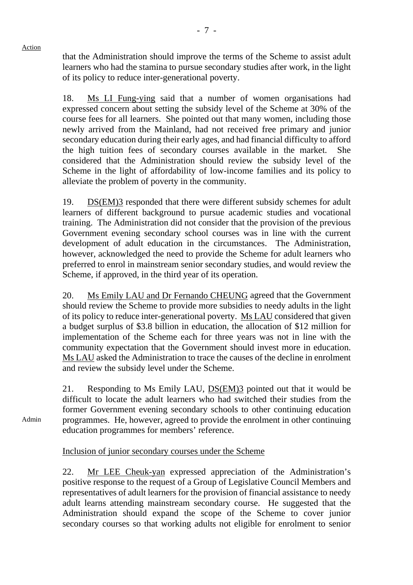Admin

that the Administration should improve the terms of the Scheme to assist adult learners who had the stamina to pursue secondary studies after work, in the light of its policy to reduce inter-generational poverty.

18. Ms LI Fung-ying said that a number of women organisations had expressed concern about setting the subsidy level of the Scheme at 30% of the course fees for all learners. She pointed out that many women, including those newly arrived from the Mainland, had not received free primary and junior secondary education during their early ages, and had financial difficulty to afford the high tuition fees of secondary courses available in the market. She considered that the Administration should review the subsidy level of the Scheme in the light of affordability of low-income families and its policy to alleviate the problem of poverty in the community.

19. DS(EM)3 responded that there were different subsidy schemes for adult learners of different background to pursue academic studies and vocational training. The Administration did not consider that the provision of the previous Government evening secondary school courses was in line with the current development of adult education in the circumstances. The Administration, however, acknowledged the need to provide the Scheme for adult learners who preferred to enrol in mainstream senior secondary studies, and would review the Scheme, if approved, in the third year of its operation.

20. Ms Emily LAU and Dr Fernando CHEUNG agreed that the Government should review the Scheme to provide more subsidies to needy adults in the light of its policy to reduce inter-generational poverty. Ms LAU considered that given a budget surplus of \$3.8 billion in education, the allocation of \$12 million for implementation of the Scheme each for three years was not in line with the community expectation that the Government should invest more in education. Ms LAU asked the Administration to trace the causes of the decline in enrolment and review the subsidy level under the Scheme.

21. Responding to Ms Emily LAU, DS(EM)3 pointed out that it would be difficult to locate the adult learners who had switched their studies from the former Government evening secondary schools to other continuing education programmes. He, however, agreed to provide the enrolment in other continuing education programmes for members' reference.

Inclusion of junior secondary courses under the Scheme

22. Mr LEE Cheuk-yan expressed appreciation of the Administration's positive response to the request of a Group of Legislative Council Members and representatives of adult learners for the provision of financial assistance to needy adult learns attending mainstream secondary course. He suggested that the Administration should expand the scope of the Scheme to cover junior secondary courses so that working adults not eligible for enrolment to senior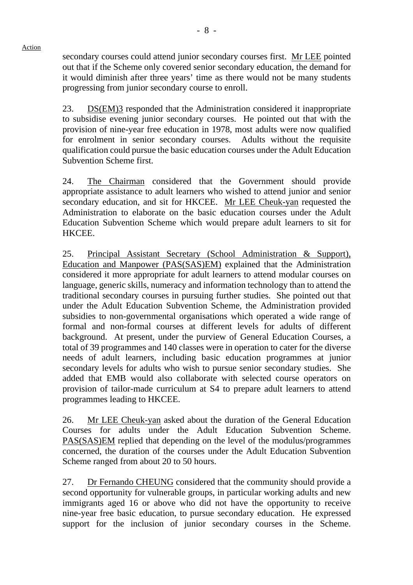secondary courses could attend junior secondary courses first. Mr LEE pointed out that if the Scheme only covered senior secondary education, the demand for it would diminish after three years' time as there would not be many students progressing from junior secondary course to enroll.

23. DS(EM)3 responded that the Administration considered it inappropriate to subsidise evening junior secondary courses. He pointed out that with the provision of nine-year free education in 1978, most adults were now qualified for enrolment in senior secondary courses. Adults without the requisite qualification could pursue the basic education courses under the Adult Education Subvention Scheme first.

24. The Chairman considered that the Government should provide appropriate assistance to adult learners who wished to attend junior and senior secondary education, and sit for HKCEE. Mr LEE Cheuk-yan requested the Administration to elaborate on the basic education courses under the Adult Education Subvention Scheme which would prepare adult learners to sit for HKCEE.

25. Principal Assistant Secretary (School Administration & Support), Education and Manpower (PAS(SAS)EM) explained that the Administration considered it more appropriate for adult learners to attend modular courses on language, generic skills, numeracy and information technology than to attend the traditional secondary courses in pursuing further studies. She pointed out that under the Adult Education Subvention Scheme, the Administration provided subsidies to non-governmental organisations which operated a wide range of formal and non-formal courses at different levels for adults of different background. At present, under the purview of General Education Courses, a total of 39 programmes and 140 classes were in operation to cater for the diverse needs of adult learners, including basic education programmes at junior secondary levels for adults who wish to pursue senior secondary studies. She added that EMB would also collaborate with selected course operators on provision of tailor-made curriculum at S4 to prepare adult learners to attend programmes leading to HKCEE.

26. Mr LEE Cheuk-yan asked about the duration of the General Education Courses for adults under the Adult Education Subvention Scheme. PAS(SAS)EM replied that depending on the level of the modulus/programmes concerned, the duration of the courses under the Adult Education Subvention Scheme ranged from about 20 to 50 hours.

27. Dr Fernando CHEUNG considered that the community should provide a second opportunity for vulnerable groups, in particular working adults and new immigrants aged 16 or above who did not have the opportunity to receive nine-year free basic education, to pursue secondary education. He expressed support for the inclusion of junior secondary courses in the Scheme.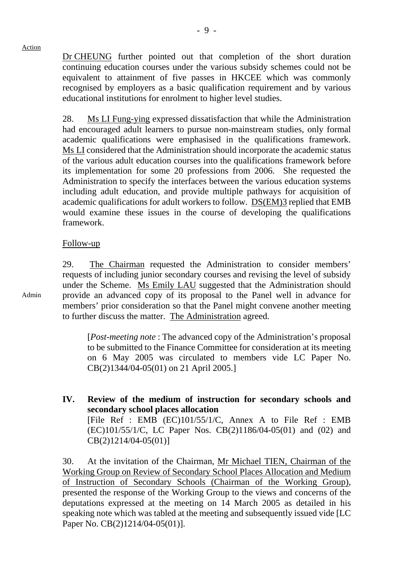Dr CHEUNG further pointed out that completion of the short duration continuing education courses under the various subsidy schemes could not be equivalent to attainment of five passes in HKCEE which was commonly recognised by employers as a basic qualification requirement and by various educational institutions for enrolment to higher level studies.

28. Ms LI Fung-ying expressed dissatisfaction that while the Administration had encouraged adult learners to pursue non-mainstream studies, only formal academic qualifications were emphasised in the qualifications framework. Ms LI considered that the Administration should incorporate the academic status of the various adult education courses into the qualifications framework before its implementation for some 20 professions from 2006. She requested the Administration to specify the interfaces between the various education systems including adult education, and provide multiple pathways for acquisition of academic qualifications for adult workers to follow. DS(EM)3 replied that EMB would examine these issues in the course of developing the qualifications framework.

## Follow-up

29. The Chairman requested the Administration to consider members' requests of including junior secondary courses and revising the level of subsidy under the Scheme. Ms Emily LAU suggested that the Administration should provide an advanced copy of its proposal to the Panel well in advance for members' prior consideration so that the Panel might convene another meeting to further discuss the matter. The Administration agreed.

[*Post-meeting note* : The advanced copy of the Administration's proposal to be submitted to the Finance Committee for consideration at its meeting on 6 May 2005 was circulated to members vide LC Paper No. CB(2)1344/04-05(01) on 21 April 2005.]

**IV. Review of the medium of instruction for secondary schools and secondary school places allocation** 

[File Ref : EMB (EC)101/55/1/C, Annex A to File Ref : EMB (EC)101/55/1/C, LC Paper Nos. CB(2)1186/04-05(01) and (02) and CB(2)1214/04-05(01)]

30. At the invitation of the Chairman, Mr Michael TIEN, Chairman of the Working Group on Review of Secondary School Places Allocation and Medium of Instruction of Secondary Schools (Chairman of the Working Group), presented the response of the Working Group to the views and concerns of the deputations expressed at the meeting on 14 March 2005 as detailed in his speaking note which was tabled at the meeting and subsequently issued vide [LC Paper No. CB(2)1214/04-05(01)].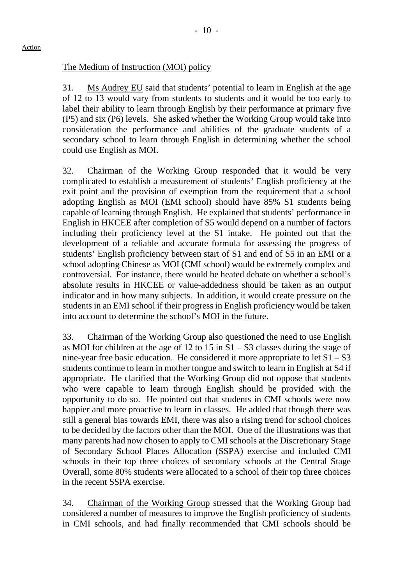## The Medium of Instruction (MOI) policy

31. Ms Audrey EU said that students' potential to learn in English at the age of 12 to 13 would vary from students to students and it would be too early to label their ability to learn through English by their performance at primary five (P5) and six (P6) levels. She asked whether the Working Group would take into consideration the performance and abilities of the graduate students of a secondary school to learn through English in determining whether the school could use English as MOI.

32. Chairman of the Working Group responded that it would be very complicated to establish a measurement of students' English proficiency at the exit point and the provision of exemption from the requirement that a school adopting English as MOI (EMI school) should have 85% S1 students being capable of learning through English. He explained that students' performance in English in HKCEE after completion of S5 would depend on a number of factors including their proficiency level at the S1 intake. He pointed out that the development of a reliable and accurate formula for assessing the progress of students' English proficiency between start of S1 and end of S5 in an EMI or a school adopting Chinese as MOI (CMI school) would be extremely complex and controversial. For instance, there would be heated debate on whether a school's absolute results in HKCEE or value-addedness should be taken as an output indicator and in how many subjects. In addition, it would create pressure on the students in an EMI school if their progress in English proficiency would be taken into account to determine the school's MOI in the future.

33. Chairman of the Working Group also questioned the need to use English as MOI for children at the age of 12 to 15 in S1 – S3 classes during the stage of nine-year free basic education. He considered it more appropriate to let  $S1 - S3$ students continue to learn in mother tongue and switch to learn in English at S4 if appropriate. He clarified that the Working Group did not oppose that students who were capable to learn through English should be provided with the opportunity to do so. He pointed out that students in CMI schools were now happier and more proactive to learn in classes. He added that though there was still a general bias towards EMI, there was also a rising trend for school choices to be decided by the factors other than the MOI. One of the illustrations was that many parents had now chosen to apply to CMI schools at the Discretionary Stage of Secondary School Places Allocation (SSPA) exercise and included CMI schools in their top three choices of secondary schools at the Central Stage Overall, some 80% students were allocated to a school of their top three choices in the recent SSPA exercise.

34. Chairman of the Working Group stressed that the Working Group had considered a number of measures to improve the English proficiency of students in CMI schools, and had finally recommended that CMI schools should be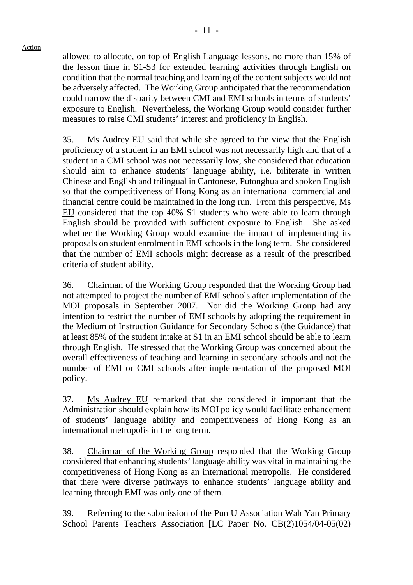allowed to allocate, on top of English Language lessons, no more than 15% of the lesson time in S1-S3 for extended learning activities through English on condition that the normal teaching and learning of the content subjects would not be adversely affected. The Working Group anticipated that the recommendation could narrow the disparity between CMI and EMI schools in terms of students' exposure to English. Nevertheless, the Working Group would consider further measures to raise CMI students' interest and proficiency in English.

35. Ms Audrey EU said that while she agreed to the view that the English proficiency of a student in an EMI school was not necessarily high and that of a student in a CMI school was not necessarily low, she considered that education should aim to enhance students' language ability, i.e. biliterate in written Chinese and English and trilingual in Cantonese, Putonghua and spoken English so that the competitiveness of Hong Kong as an international commercial and financial centre could be maintained in the long run. From this perspective, Ms EU considered that the top 40% S1 students who were able to learn through English should be provided with sufficient exposure to English. She asked whether the Working Group would examine the impact of implementing its proposals on student enrolment in EMI schools in the long term. She considered that the number of EMI schools might decrease as a result of the prescribed criteria of student ability.

36. Chairman of the Working Group responded that the Working Group had not attempted to project the number of EMI schools after implementation of the MOI proposals in September 2007. Nor did the Working Group had any intention to restrict the number of EMI schools by adopting the requirement in the Medium of Instruction Guidance for Secondary Schools (the Guidance) that at least 85% of the student intake at S1 in an EMI school should be able to learn through English. He stressed that the Working Group was concerned about the overall effectiveness of teaching and learning in secondary schools and not the number of EMI or CMI schools after implementation of the proposed MOI policy.

37. Ms Audrey EU remarked that she considered it important that the Administration should explain how its MOI policy would facilitate enhancement of students' language ability and competitiveness of Hong Kong as an international metropolis in the long term.

38. Chairman of the Working Group responded that the Working Group considered that enhancing students' language ability was vital in maintaining the competitiveness of Hong Kong as an international metropolis. He considered that there were diverse pathways to enhance students' language ability and learning through EMI was only one of them.

39. Referring to the submission of the Pun U Association Wah Yan Primary School Parents Teachers Association [LC Paper No. CB(2)1054/04-05(02)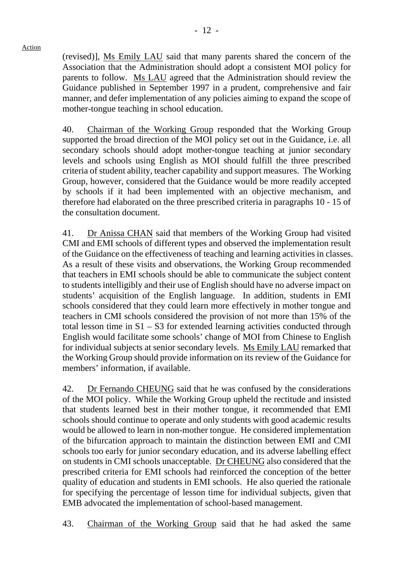(revised)], Ms Emily LAU said that many parents shared the concern of the Association that the Administration should adopt a consistent MOI policy for parents to follow. Ms LAU agreed that the Administration should review the Guidance published in September 1997 in a prudent, comprehensive and fair manner, and defer implementation of any policies aiming to expand the scope of mother-tongue teaching in school education.

40. Chairman of the Working Group responded that the Working Group supported the broad direction of the MOI policy set out in the Guidance, i.e. all secondary schools should adopt mother-tongue teaching at junior secondary levels and schools using English as MOI should fulfill the three prescribed criteria of student ability, teacher capability and support measures. The Working Group, however, considered that the Guidance would be more readily accepted by schools if it had been implemented with an objective mechanism, and therefore had elaborated on the three prescribed criteria in paragraphs 10 - 15 of the consultation document.

41. Dr Anissa CHAN said that members of the Working Group had visited CMI and EMI schools of different types and observed the implementation result of the Guidance on the effectiveness of teaching and learning activities in classes. As a result of these visits and observations, the Working Group recommended that teachers in EMI schools should be able to communicate the subject content to students intelligibly and their use of English should have no adverse impact on students' acquisition of the English language. In addition, students in EMI schools considered that they could learn more effectively in mother tongue and teachers in CMI schools considered the provision of not more than 15% of the total lesson time in  $S1 - S3$  for extended learning activities conducted through English would facilitate some schools' change of MOI from Chinese to English for individual subjects at senior secondary levels. Ms Emily LAU remarked that the Working Group should provide information on its review of the Guidance for members' information, if available.

42. Dr Fernando CHEUNG said that he was confused by the considerations of the MOI policy. While the Working Group upheld the rectitude and insisted that students learned best in their mother tongue, it recommended that EMI schools should continue to operate and only students with good academic results would be allowed to learn in non-mother tongue. He considered implementation of the bifurcation approach to maintain the distinction between EMI and CMI schools too early for junior secondary education, and its adverse labelling effect on students in CMI schools unacceptable. Dr CHEUNG also considered that the prescribed criteria for EMI schools had reinforced the conception of the better quality of education and students in EMI schools. He also queried the rationale for specifying the percentage of lesson time for individual subjects, given that EMB advocated the implementation of school-based management.

43. Chairman of the Working Group said that he had asked the same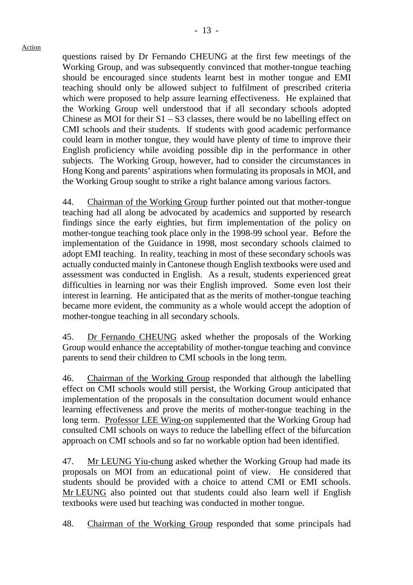questions raised by Dr Fernando CHEUNG at the first few meetings of the Working Group, and was subsequently convinced that mother-tongue teaching should be encouraged since students learnt best in mother tongue and EMI teaching should only be allowed subject to fulfilment of prescribed criteria which were proposed to help assure learning effectiveness. He explained that the Working Group well understood that if all secondary schools adopted Chinese as MOI for their  $S1 - S3$  classes, there would be no labelling effect on CMI schools and their students. If students with good academic performance could learn in mother tongue, they would have plenty of time to improve their English proficiency while avoiding possible dip in the performance in other subjects. The Working Group, however, had to consider the circumstances in Hong Kong and parents' aspirations when formulating its proposals in MOI, and the Working Group sought to strike a right balance among various factors.

44. Chairman of the Working Group further pointed out that mother-tongue teaching had all along be advocated by academics and supported by research findings since the early eighties, but firm implementation of the policy on mother-tongue teaching took place only in the 1998-99 school year. Before the implementation of the Guidance in 1998, most secondary schools claimed to adopt EMI teaching. In reality, teaching in most of these secondary schools was actually conducted mainly in Cantonese though English textbooks were used and assessment was conducted in English. As a result, students experienced great difficulties in learning nor was their English improved. Some even lost their interest in learning. He anticipated that as the merits of mother-tongue teaching became more evident, the community as a whole would accept the adoption of mother-tongue teaching in all secondary schools.

45. Dr Fernando CHEUNG asked whether the proposals of the Working Group would enhance the acceptability of mother-tongue teaching and convince parents to send their children to CMI schools in the long term.

46. Chairman of the Working Group responded that although the labelling effect on CMI schools would still persist, the Working Group anticipated that implementation of the proposals in the consultation document would enhance learning effectiveness and prove the merits of mother-tongue teaching in the long term. Professor LEE Wing-on supplemented that the Working Group had consulted CMI schools on ways to reduce the labelling effect of the bifurcation approach on CMI schools and so far no workable option had been identified.

47. Mr LEUNG Yiu-chung asked whether the Working Group had made its proposals on MOI from an educational point of view. He considered that students should be provided with a choice to attend CMI or EMI schools. Mr LEUNG also pointed out that students could also learn well if English textbooks were used but teaching was conducted in mother tongue.

48. Chairman of the Working Group responded that some principals had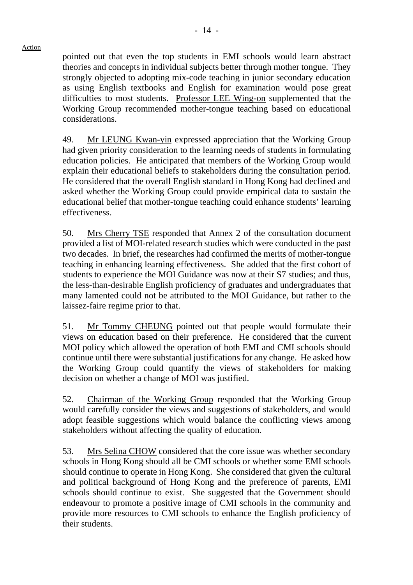pointed out that even the top students in EMI schools would learn abstract theories and concepts in individual subjects better through mother tongue. They strongly objected to adopting mix-code teaching in junior secondary education as using English textbooks and English for examination would pose great difficulties to most students. Professor LEE Wing-on supplemented that the Working Group recommended mother-tongue teaching based on educational considerations.

49. Mr LEUNG Kwan-yin expressed appreciation that the Working Group had given priority consideration to the learning needs of students in formulating education policies. He anticipated that members of the Working Group would explain their educational beliefs to stakeholders during the consultation period. He considered that the overall English standard in Hong Kong had declined and asked whether the Working Group could provide empirical data to sustain the educational belief that mother-tongue teaching could enhance students' learning effectiveness.

50. Mrs Cherry TSE responded that Annex 2 of the consultation document provided a list of MOI-related research studies which were conducted in the past two decades. In brief, the researches had confirmed the merits of mother-tongue teaching in enhancing learning effectiveness. She added that the first cohort of students to experience the MOI Guidance was now at their S7 studies; and thus, the less-than-desirable English proficiency of graduates and undergraduates that many lamented could not be attributed to the MOI Guidance, but rather to the laissez-faire regime prior to that.

51. Mr Tommy CHEUNG pointed out that people would formulate their views on education based on their preference. He considered that the current MOI policy which allowed the operation of both EMI and CMI schools should continue until there were substantial justifications for any change. He asked how the Working Group could quantify the views of stakeholders for making decision on whether a change of MOI was justified.

52. Chairman of the Working Group responded that the Working Group would carefully consider the views and suggestions of stakeholders, and would adopt feasible suggestions which would balance the conflicting views among stakeholders without affecting the quality of education.

53. Mrs Selina CHOW considered that the core issue was whether secondary schools in Hong Kong should all be CMI schools or whether some EMI schools should continue to operate in Hong Kong. She considered that given the cultural and political background of Hong Kong and the preference of parents, EMI schools should continue to exist. She suggested that the Government should endeavour to promote a positive image of CMI schools in the community and provide more resources to CMI schools to enhance the English proficiency of their students.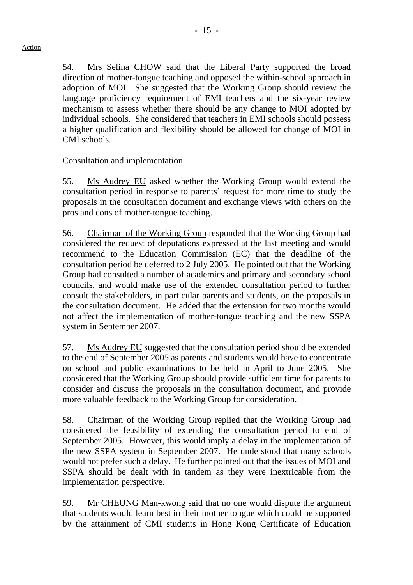54. Mrs Selina CHOW said that the Liberal Party supported the broad direction of mother-tongue teaching and opposed the within-school approach in adoption of MOI. She suggested that the Working Group should review the language proficiency requirement of EMI teachers and the six-year review mechanism to assess whether there should be any change to MOI adopted by individual schools. She considered that teachers in EMI schools should possess a higher qualification and flexibility should be allowed for change of MOI in CMI schools.

# Consultation and implementation

55. Ms Audrey EU asked whether the Working Group would extend the consultation period in response to parents' request for more time to study the proposals in the consultation document and exchange views with others on the pros and cons of mother-tongue teaching.

56. Chairman of the Working Group responded that the Working Group had considered the request of deputations expressed at the last meeting and would recommend to the Education Commission (EC) that the deadline of the consultation period be deferred to 2 July 2005. He pointed out that the Working Group had consulted a number of academics and primary and secondary school councils, and would make use of the extended consultation period to further consult the stakeholders, in particular parents and students, on the proposals in the consultation document. He added that the extension for two months would not affect the implementation of mother-tongue teaching and the new SSPA system in September 2007.

57. Ms Audrey EU suggested that the consultation period should be extended to the end of September 2005 as parents and students would have to concentrate on school and public examinations to be held in April to June 2005. She considered that the Working Group should provide sufficient time for parents to consider and discuss the proposals in the consultation document, and provide more valuable feedback to the Working Group for consideration.

58. Chairman of the Working Group replied that the Working Group had considered the feasibility of extending the consultation period to end of September 2005. However, this would imply a delay in the implementation of the new SSPA system in September 2007. He understood that many schools would not prefer such a delay. He further pointed out that the issues of MOI and SSPA should be dealt with in tandem as they were inextricable from the implementation perspective.

59. Mr CHEUNG Man-kwong said that no one would dispute the argument that students would learn best in their mother tongue which could be supported by the attainment of CMI students in Hong Kong Certificate of Education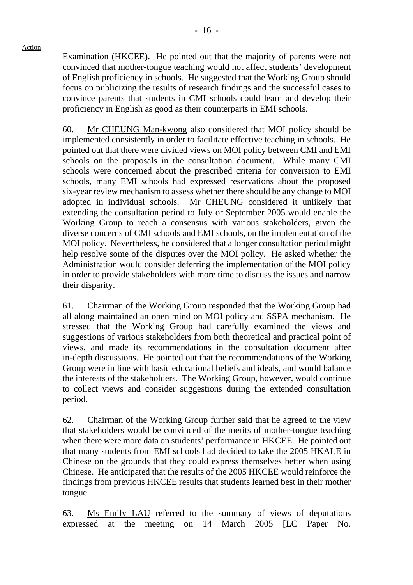Examination (HKCEE). He pointed out that the majority of parents were not convinced that mother-tongue teaching would not affect students' development of English proficiency in schools. He suggested that the Working Group should focus on publicizing the results of research findings and the successful cases to convince parents that students in CMI schools could learn and develop their proficiency in English as good as their counterparts in EMI schools.

60. Mr CHEUNG Man-kwong also considered that MOI policy should be implemented consistently in order to facilitate effective teaching in schools. He pointed out that there were divided views on MOI policy between CMI and EMI schools on the proposals in the consultation document. While many CMI schools were concerned about the prescribed criteria for conversion to EMI schools, many EMI schools had expressed reservations about the proposed six-year review mechanism to assess whether there should be any change to MOI adopted in individual schools. Mr CHEUNG considered it unlikely that extending the consultation period to July or September 2005 would enable the Working Group to reach a consensus with various stakeholders, given the diverse concerns of CMI schools and EMI schools, on the implementation of the MOI policy. Nevertheless, he considered that a longer consultation period might help resolve some of the disputes over the MOI policy. He asked whether the Administration would consider deferring the implementation of the MOI policy in order to provide stakeholders with more time to discuss the issues and narrow their disparity.

61. Chairman of the Working Group responded that the Working Group had all along maintained an open mind on MOI policy and SSPA mechanism. He stressed that the Working Group had carefully examined the views and suggestions of various stakeholders from both theoretical and practical point of views, and made its recommendations in the consultation document after in-depth discussions. He pointed out that the recommendations of the Working Group were in line with basic educational beliefs and ideals, and would balance the interests of the stakeholders. The Working Group, however, would continue to collect views and consider suggestions during the extended consultation period.

62. Chairman of the Working Group further said that he agreed to the view that stakeholders would be convinced of the merits of mother-tongue teaching when there were more data on students' performance in HKCEE. He pointed out that many students from EMI schools had decided to take the 2005 HKALE in Chinese on the grounds that they could express themselves better when using Chinese. He anticipated that the results of the 2005 HKCEE would reinforce the findings from previous HKCEE results that students learned best in their mother tongue.

63. Ms Emily LAU referred to the summary of views of deputations expressed at the meeting on 14 March 2005 [LC Paper No.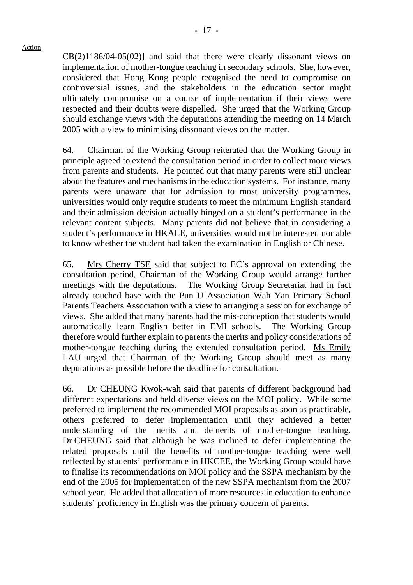CB(2)1186/04-05(02)] and said that there were clearly dissonant views on

implementation of mother-tongue teaching in secondary schools. She, however, considered that Hong Kong people recognised the need to compromise on controversial issues, and the stakeholders in the education sector might ultimately compromise on a course of implementation if their views were respected and their doubts were dispelled. She urged that the Working Group should exchange views with the deputations attending the meeting on 14 March 2005 with a view to minimising dissonant views on the matter.

64. Chairman of the Working Group reiterated that the Working Group in principle agreed to extend the consultation period in order to collect more views from parents and students. He pointed out that many parents were still unclear about the features and mechanisms in the education systems. For instance, many parents were unaware that for admission to most university programmes, universities would only require students to meet the minimum English standard and their admission decision actually hinged on a student's performance in the relevant content subjects. Many parents did not believe that in considering a student's performance in HKALE, universities would not be interested nor able to know whether the student had taken the examination in English or Chinese.

65. Mrs Cherry TSE said that subject to EC's approval on extending the consultation period, Chairman of the Working Group would arrange further meetings with the deputations. The Working Group Secretariat had in fact already touched base with the Pun U Association Wah Yan Primary School Parents Teachers Association with a view to arranging a session for exchange of views. She added that many parents had the mis-conception that students would automatically learn English better in EMI schools. The Working Group therefore would further explain to parents the merits and policy considerations of mother-tongue teaching during the extended consultation period. Ms Emily LAU urged that Chairman of the Working Group should meet as many deputations as possible before the deadline for consultation.

66. Dr CHEUNG Kwok-wah said that parents of different background had different expectations and held diverse views on the MOI policy. While some preferred to implement the recommended MOI proposals as soon as practicable, others preferred to defer implementation until they achieved a better understanding of the merits and demerits of mother-tongue teaching. Dr CHEUNG said that although he was inclined to defer implementing the related proposals until the benefits of mother-tongue teaching were well reflected by students' performance in HKCEE, the Working Group would have to finalise its recommendations on MOI policy and the SSPA mechanism by the end of the 2005 for implementation of the new SSPA mechanism from the 2007 school year. He added that allocation of more resources in education to enhance students' proficiency in English was the primary concern of parents.